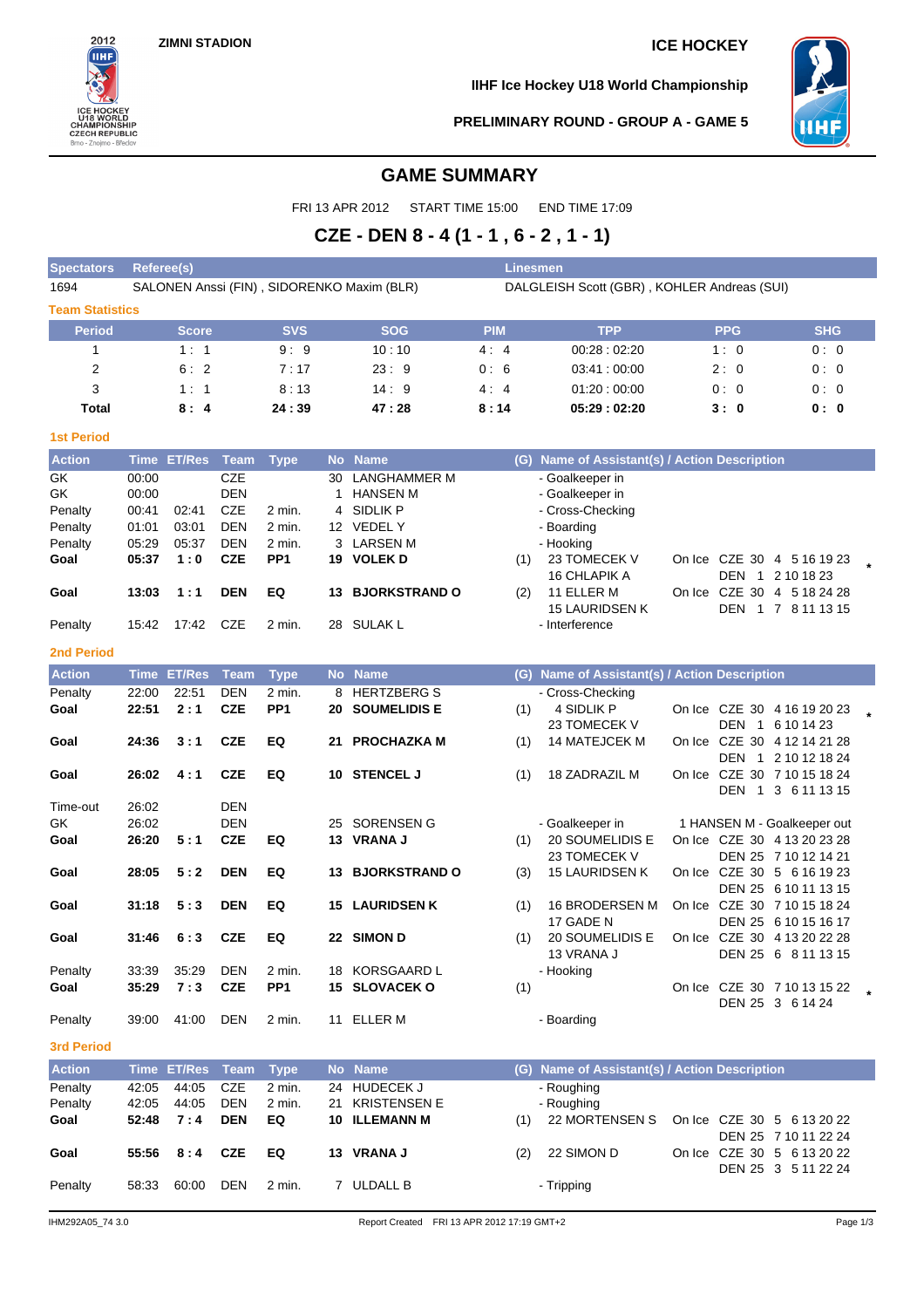**ZIMNI STADION ICE HOCKEY**



**IIHF Ice Hockey U18 World Championship**



**PRELIMINARY ROUND - GROUP A - GAME 5**

# **GAME SUMMARY**

FRI 13 APR 2012 START TIME 15:00 END TIME 17:09

# **CZE - DEN 8 - 4 (1 - 1 , 6 - 2 , 1 - 1)**

| <b>Spectators</b>      | Referee(s)<br>Linesmen |              |                          |                           |    |                                            |            |                                               |  |            |                                                    |         |
|------------------------|------------------------|--------------|--------------------------|---------------------------|----|--------------------------------------------|------------|-----------------------------------------------|--|------------|----------------------------------------------------|---------|
| 1694                   |                        |              |                          |                           |    | SALONEN Anssi (FIN), SIDORENKO Maxim (BLR) |            | DALGLEISH Scott (GBR), KOHLER Andreas (SUI)   |  |            |                                                    |         |
| <b>Team Statistics</b> |                        |              |                          |                           |    |                                            |            |                                               |  |            |                                                    |         |
| <b>Period</b>          |                        | <b>Score</b> |                          | <b>SVS</b>                |    | <b>SOG</b>                                 | <b>PIM</b> | <b>TPP</b>                                    |  | <b>PPG</b> | <b>SHG</b>                                         |         |
| 1                      |                        | 1:1          |                          | 9:9                       |    | 10:10                                      | 4:4        | 00:28:02:20                                   |  | 1:0        | 0:0                                                |         |
| 2                      |                        | 6:2          |                          | 7:17                      |    | 23:9                                       | 0:6        | 03:41:00:00                                   |  | 2:0        | 0:0                                                |         |
| 3                      |                        | 1:1          |                          | 8:13                      |    | 14:9                                       | 4:4        | 01:20:00:00                                   |  | 0:0        | 0:0                                                |         |
| Total                  |                        | 8:4          |                          | 24:39                     |    | 47:28                                      | 8:14       | 05:29:02:20                                   |  | 3:0        | 0:0                                                |         |
| <b>1st Period</b>      |                        |              |                          |                           |    |                                            |            |                                               |  |            |                                                    |         |
| <b>Action</b>          |                        | Time ET/Res  | <b>Team</b>              | <b>Type</b>               |    | No Name                                    |            | (G) Name of Assistant(s) / Action Description |  |            |                                                    |         |
| $G\overline{K}$        | 00:00                  |              | <b>CZE</b>               |                           | 30 | LANGHAMMER M                               |            | - Goalkeeper in                               |  |            |                                                    |         |
| GK                     | 00:00                  |              | <b>DEN</b>               |                           | 1  | <b>HANSEN M</b>                            |            | - Goalkeeper in                               |  |            |                                                    |         |
| Penalty                | 00:41                  | 02:41        | CZE                      | 2 min.                    |    | 4 SIDLIK P                                 |            | - Cross-Checking                              |  |            |                                                    |         |
| Penalty                | 01:01                  | 03:01        | <b>DEN</b>               | 2 min.                    |    | 12 VEDEL Y                                 |            | - Boarding                                    |  |            |                                                    |         |
| Penalty                | 05:29<br>05:37         | 05:37<br>1:0 | <b>DEN</b><br><b>CZE</b> | 2 min.<br>PP <sub>1</sub> |    | 3 LARSEN M<br>19 VOLEK D                   |            | - Hooking<br>23 TOMECEK V                     |  |            | On Ice CZE 30 4 5 16 19 23                         |         |
| Goal                   |                        |              |                          |                           |    |                                            | (1)        | <b>16 CHLAPIK A</b>                           |  |            | DEN 1 2 10 18 23                                   |         |
| Goal                   | 13:03                  | 1:1          | <b>DEN</b>               | EQ                        |    | <b>13 BJORKSTRAND O</b>                    | (2)        | 11 ELLER M                                    |  |            | On Ice CZE 30 4 5 18 24 28                         |         |
|                        |                        |              |                          |                           |    |                                            |            | <b>15 LAURIDSEN K</b>                         |  |            | DEN 1 7 8 11 13 15                                 |         |
| Penalty                | 15:42                  | 17:42        | CZE                      | 2 min.                    |    | 28 SULAK L                                 |            | - Interference                                |  |            |                                                    |         |
| <b>2nd Period</b>      |                        |              |                          |                           |    |                                            |            |                                               |  |            |                                                    |         |
| <b>Action</b>          |                        | Time ET/Res  | <b>Team</b>              | <b>Type</b>               |    | No Name                                    |            | (G) Name of Assistant(s) / Action Description |  |            |                                                    |         |
| Penalty                | 22:00                  | 22:51        | <b>DEN</b>               | 2 min.                    | 8  | <b>HERTZBERG S</b>                         |            | - Cross-Checking                              |  |            |                                                    |         |
| Goal                   | 22:51                  | 2:1          | <b>CZE</b>               | PP <sub>1</sub>           |    | <b>20 SOUMELIDIS E</b>                     | (1)        | 4 SIDLIK P                                    |  |            | On Ice CZE 30 4 16 19 20 23                        |         |
|                        |                        |              |                          |                           |    |                                            |            | 23 TOMECEK V                                  |  |            | DEN 1 6 10 14 23                                   |         |
| Goal                   | 24:36                  | 3:1          | <b>CZE</b>               | EQ                        |    | 21 PROCHAZKA M                             | (1)        | 14 MATEJCEK M                                 |  |            | On Ice CZE 30 4 12 14 21 28                        |         |
|                        |                        |              |                          |                           |    |                                            |            |                                               |  |            | DEN 1 2 10 12 18 24                                |         |
| Goal                   | 26:02                  | 4:1          | <b>CZE</b>               | EQ                        |    | 10 STENCEL J                               | (1)        | 18 ZADRAZIL M                                 |  |            | On Ice CZE 30 7 10 15 18 24                        |         |
| Time-out               | 26:02                  |              | <b>DEN</b>               |                           |    |                                            |            |                                               |  |            | DEN 1 3 6 11 13 15                                 |         |
| GK                     | 26:02                  |              | <b>DEN</b>               |                           | 25 | SORENSEN G                                 |            | - Goalkeeper in                               |  |            | 1 HANSEN M - Goalkeeper out                        |         |
| Goal                   | 26:20                  | 5:1          | <b>CZE</b>               | EQ                        |    | 13 VRANA J                                 | (1)        | 20 SOUMELIDIS E                               |  |            | On Ice CZE 30 4 13 20 23 28                        |         |
|                        |                        |              |                          |                           |    |                                            |            | 23 TOMECEK V                                  |  |            | DEN 25 7 10 12 14 21                               |         |
| Goal                   | 28:05                  | 5:2          | <b>DEN</b>               | EQ                        |    | <b>13 BJORKSTRAND O</b>                    | (3)        | 15 LAURIDSEN K                                |  |            | On Ice CZE 30 5 6 16 19 23                         |         |
|                        |                        |              |                          |                           |    |                                            |            |                                               |  |            | DEN 25 6 10 11 13 15                               |         |
| Goal                   | 31:18                  | 5:3          | <b>DEN</b>               | EQ                        |    | <b>15 LAURIDSEN K</b>                      | (1)        | 16 BRODERSEN M                                |  |            | On Ice CZE 30 7 10 15 18 24                        |         |
|                        |                        |              |                          |                           |    |                                            |            | 17 GADE N                                     |  |            | DEN 25 6 10 15 16 17                               |         |
| Goal                   | 31:46                  | 6:3          | <b>CZE</b>               | EQ                        |    | 22 SIMON D                                 | (1)        | 20 SOUMELIDIS E<br>13 VRANA J                 |  |            | On Ice CZE 30 4 13 20 22 28<br>DEN 25 6 8 11 13 15 |         |
| Penalty                | 33:39                  | 35:29        | <b>DEN</b>               | 2 min.                    |    | 18 KORSGAARD L                             |            | - Hooking                                     |  |            |                                                    |         |
| Goal                   | 35:29                  | 7:3          | <b>CZE</b>               | PP <sub>1</sub>           |    | 15 SLOVACEK O                              | (1)        |                                               |  |            | On Ice CZE 30 7 10 13 15 22                        | $\star$ |
|                        |                        |              |                          |                           |    |                                            |            |                                               |  |            | DEN 25 3 6 14 24                                   |         |
| Penalty                | 39:00                  | 41:00        | <b>DEN</b>               | 2 min.                    |    | 11 ELLER M                                 |            | - Boarding                                    |  |            |                                                    |         |
| 3rd Period             |                        |              |                          |                           |    |                                            |            |                                               |  |            |                                                    |         |
| <b>Action</b>          |                        | Time ET/Res  | <b>Team</b>              | <b>Type</b>               |    | No Name                                    |            | (G) Name of Assistant(s) / Action Description |  |            |                                                    |         |
| Penalty                | 42:05                  | 44:05        | CZE                      | 2 min.                    |    | 24 HUDECEK J                               |            | - Roughing                                    |  |            |                                                    |         |
| Penalty                | 42:05                  | 44:05        | <b>DEN</b>               | 2 min.                    | 21 | <b>KRISTENSEN E</b>                        |            | - Roughing                                    |  |            |                                                    |         |
| Goal                   | 52:48                  | 7:4          | <b>DEN</b>               | EQ                        |    | <b>10 ILLEMANN M</b>                       | (1)        | 22 MORTENSEN S                                |  |            | On Ice CZE 30 5 6 13 20 22                         |         |
|                        |                        |              |                          |                           |    |                                            |            |                                               |  |            | DEN 25 7 10 11 22 24                               |         |
| Goal                   | 55:56                  | 8:4          | <b>CZE</b>               | EQ                        |    | 13 VRANA J                                 | (2)        | 22 SIMON D                                    |  |            | On Ice CZE 30 5 6 13 20 22<br>DEN 25 3 5 11 22 24  |         |
| Penalty                | 58:33                  | 60:00        | <b>DEN</b>               | 2 min.                    |    | 7 ULDALL B                                 |            | - Tripping                                    |  |            |                                                    |         |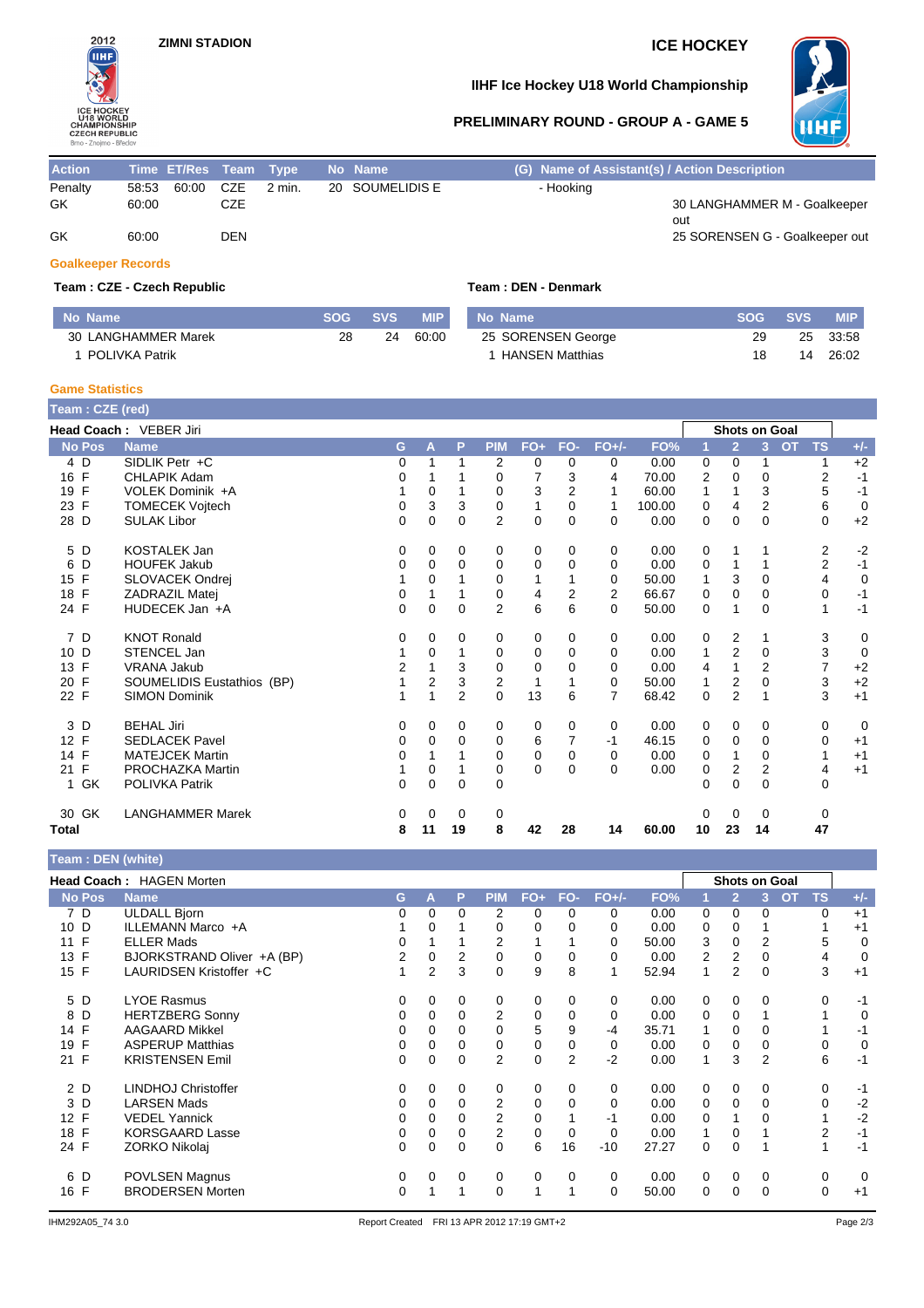

## **IIHF Ice Hockey U18 World Championship**

**PRELIMINARY ROUND - GROUP A - GAME 5**



| <b>Action</b> | Time ET/Res Team Type |           |            |        | No Name         | (G) Name of Assistant(s) / Action Description |                                     |
|---------------|-----------------------|-----------|------------|--------|-----------------|-----------------------------------------------|-------------------------------------|
| Penalty       | 58.53                 | 60:00 CZE |            | 2 min. | 20 SOUMELIDIS E | - Hooking                                     |                                     |
| GK            | 60:00                 |           | CZE        |        |                 |                                               | 30 LANGHAMMER M - Goalkeeper<br>out |
| GK            | 60:00                 |           | <b>DEN</b> |        |                 |                                               | 25 SORENSEN G - Goalkeeper out      |

### **Goalkeeper Records**

### **Team : CZE - Czech Republic Team : DEN - Denmark**

| No Name               | <b>SOG</b> | <b>SVS</b> | <b>MIP</b> | No Name                | <b>SOG</b> | <b>SVS</b> | <b>MIP</b> |
|-----------------------|------------|------------|------------|------------------------|------------|------------|------------|
| 30 LANGHAMMER Marek   | 28         | 24         | 60:00      | 25 SORENSEN George     | 29         | 25         | 33:58      |
| <b>POLIVKA Patrik</b> |            |            |            | <b>HANSEN Matthias</b> |            | 14         | 26:02      |

### **Game Statistics**

| Team: CZE (red) |                            |          |          |          |                |             |          |                |        |          |                |                      |           |                |                |
|-----------------|----------------------------|----------|----------|----------|----------------|-------------|----------|----------------|--------|----------|----------------|----------------------|-----------|----------------|----------------|
|                 | Head Coach: VEBER Jiri     |          |          |          |                |             |          |                |        |          |                | <b>Shots on Goal</b> |           |                |                |
| <b>No Pos</b>   | <b>Name</b>                | G        | A        | P        | <b>PIM</b>     | $FO+$       | FO-      | $FO+/-$        | FO%    |          | $\overline{2}$ | 3                    | <b>OT</b> | <b>TS</b>      | $+/-$          |
| $4\overline{D}$ | SIDLIK Petr +C             | 0        |          | 1        | 2              | 0           | $\Omega$ | 0              | 0.00   | 0        | 0              |                      |           |                | $+2$           |
| 16 F            | <b>CHLAPIK Adam</b>        | 0        |          |          | $\Omega$       | 7           | 3        | 4              | 70.00  | 2        | $\Omega$       | 0                    |           | 2              | $-1$           |
| 19 F            | VOLEK Dominik +A           |          | 0        |          | 0              | 3           | 2        | 1              | 60.00  | 1        | 1              | 3                    |           | 5              | $-1$           |
| 23 F            | <b>TOMECEK Vojtech</b>     | 0        | 3        | 3        | 0              | 1           | $\Omega$ | 1              | 100.00 | 0        | 4              | $\overline{2}$       |           | 6              | $\overline{0}$ |
| 28 D            | <b>SULAK Libor</b>         | 0        | 0        | $\Omega$ | $\overline{2}$ | 0           | $\Omega$ | $\Omega$       | 0.00   | 0        | $\mathbf 0$    | $\Omega$             |           | 0              | $+2$           |
| 5 D             | <b>KOSTALEK Jan</b>        | 0        | 0        | 0        | 0              | 0           | 0        | 0              | 0.00   | 0        |                |                      |           | $\overline{c}$ | $-2$           |
| D<br>6          | <b>HOUFEK Jakub</b>        | 0        | $\Omega$ | $\Omega$ | 0              | 0           | $\Omega$ | 0              | 0.00   | 0        | 1              |                      |           | $\overline{2}$ | $-1$           |
| F<br>15         | SLOVACEK Ondrej            |          | 0        |          | 0              |             |          | 0              | 50.00  |          | 3              | $\Omega$             |           | $\overline{4}$ | $\mathbf 0$    |
| 18 F            | ZADRAZIL Matej             | 0        |          |          | 0              | 4           | 2        | $\overline{2}$ | 66.67  | 0        | $\Omega$       | $\Omega$             |           | 0              | $-1$           |
| 24 F            | HUDECEK Jan +A             | $\Omega$ | 0        | $\Omega$ | $\overline{2}$ | 6           | 6        | $\Omega$       | 50.00  | $\Omega$ | 1              | $\Omega$             |           | 1              | $-1$           |
| 7 D             | <b>KNOT Ronald</b>         | 0        | 0        | 0        | 0              | 0           | 0        | 0              | 0.00   | 0        | 2              |                      |           | 3              | $\mathbf 0$    |
| D<br>10         | STENCEL Jan                |          | $\Omega$ |          | 0              | $\Omega$    | $\Omega$ | 0              | 0.00   | 1        | $\overline{2}$ | $\Omega$             |           | 3              | $\overline{0}$ |
| 13 F            | <b>VRANA Jakub</b>         | 2        |          | 3        | 0              | 0           | 0        | 0              | 0.00   | 4        |                | $\overline{2}$       |           | $\overline{7}$ | $+2$           |
| 20 F            | SOUMELIDIS Eustathios (BP) |          | 2        | 3        | $\overline{2}$ | 1           |          | $\Omega$       | 50.00  |          | $\overline{2}$ | 0                    |           | 3              | $^{\rm +2}$    |
| 22 F            | <b>SIMON Dominik</b>       |          |          | 2        | $\mathbf 0$    | 13          | 6        | $\overline{7}$ | 68.42  | 0        | $\overline{2}$ |                      |           | 3              | $+1$           |
| 3 D             | <b>BEHAL Jiri</b>          | 0        | $\Omega$ | 0        | 0              | 0           | 0        | 0              | 0.00   | 0        | 0              | $\Omega$             |           | 0              | $\mathbf 0$    |
| 12 F            | <b>SEDLACEK Pavel</b>      | 0        | $\Omega$ | $\Omega$ | $\mathbf 0$    | 6           |          | $-1$           | 46.15  | 0        | 0              | $\Omega$             |           | 0              | $+1$           |
| 14 F            | <b>MATEJCEK Martin</b>     | 0        |          |          | 0              | $\mathbf 0$ | 0        | $\mathbf 0$    | 0.00   | 0        | $\mathbf{1}$   | $\Omega$             |           |                | $+1$           |
| 21 F            | PROCHAZKA Martin           |          | 0        |          | 0              | $\Omega$    | $\Omega$ | 0              | 0.00   | 0        | $\overline{2}$ | $\overline{2}$       |           | 4              | $+1$           |
| 1 GK            | <b>POLIVKA Patrik</b>      | 0        | 0        | 0        | $\Omega$       |             |          |                |        | 0        | $\Omega$       | $\Omega$             |           | 0              |                |
| GK<br>30        | <b>LANGHAMMER Marek</b>    | 0        | 0        | 0        | 0              |             |          |                |        | 0        | 0              | 0                    |           | 0              |                |
| Total           |                            | 8        | 11       | 19       | 8              | 42          | 28       | 14             | 60.00  | 10       | 23             | 14                   |           | 47             |                |

| Team: DEN (white)  |                                 |    |                |   |                |             |          |         |       |          |                      |          |                |             |
|--------------------|---------------------------------|----|----------------|---|----------------|-------------|----------|---------|-------|----------|----------------------|----------|----------------|-------------|
|                    | <b>Head Coach: HAGEN Morten</b> |    |                |   |                |             |          |         |       |          | <b>Shots on Goal</b> |          |                |             |
| No Pos             | <b>Name</b>                     | G. | A              | P | <b>PIM</b>     | $FO+$       | FO-      | $FO+/-$ | FO%   |          | $\overline{2}$       | OT<br>3  | TS             | $+/-$       |
| 7 D                | <b>ULDALL Bjorn</b>             | 0  | $\Omega$       | 0 | 2              | $\Omega$    | 0        | 0       | 0.00  | 0        | 0                    | $\Omega$ | 0              | $+1$        |
| 10 D               | ILLEMANN Marco +A               |    | 0              |   | 0              | $\Omega$    |          | 0       | 0.00  | 0        | 0                    |          |                | $+1$        |
| F<br>11            | <b>ELLER Mads</b>               | 0  |                |   | 2              |             |          | 0       | 50.00 | 3        | 0                    | 2        | 5              | $\mathbf 0$ |
| - F<br>13          | BJORKSTRAND Oliver +A (BP)      | 2  | 0              | 2 | 0              | 0           | 0        | 0       | 0.00  | 2        | $\overline{2}$       | $\Omega$ | 4              | $\mathbf 0$ |
| 15 F               | LAURIDSEN Kristoffer +C         | 1  | $\overline{2}$ | 3 | 0              | 9           | 8        |         | 52.94 |          | $\overline{2}$       | $\Omega$ | 3              | $+1$        |
| 5 D                | <b>LYOE Rasmus</b>              | 0  | 0              | 0 | 0              | 0           | 0        | 0       | 0.00  | 0        | 0                    | 0        | 0              | $-1$        |
| 8 D                | <b>HERTZBERG Sonny</b>          | 0  | 0              | 0 | 2              | 0           | 0        | 0       | 0.00  | 0        | 0                    |          |                | 0           |
| 14 F               | <b>AAGAARD Mikkel</b>           | 0  | $\Omega$       | 0 | 0              | 5           | 9        | -4      | 35.71 |          | 0                    | $\Omega$ |                | -1          |
| F<br>19            | <b>ASPERUP Matthias</b>         | 0  | 0              | 0 | 0              | 0           | 0        | 0       | 0.00  | 0        | 0                    | 0        | 0              | 0           |
| $\mathsf{F}$<br>21 | <b>KRISTENSEN Emil</b>          | 0  | $\Omega$       | 0 | 2              | $\mathbf 0$ | 2        | $-2$    | 0.00  |          | 3                    | 2        | 6              | -1          |
| 2 D                | <b>LINDHOJ Christoffer</b>      | 0  | 0              | 0 | 0              | 0           | 0        | 0       | 0.00  | 0        | 0                    | $\Omega$ | 0              | $-1$        |
| 3 D                | <b>LARSEN Mads</b>              | 0  | 0              | 0 | 2              | $\mathbf 0$ |          | 0       | 0.00  | 0        | 0                    | $\Omega$ | 0              | $-2$        |
| 12 F               | <b>VEDEL Yannick</b>            | 0  | $\Omega$       | 0 | $\overline{2}$ | $\Omega$    |          | -1      | 0.00  | $\Omega$ | 1                    | $\Omega$ |                | $-2$        |
| F<br>18            | <b>KORSGAARD Lasse</b>          | 0  | 0              | 0 | $\overline{2}$ | $\mathbf 0$ | $\Omega$ | 0       | 0.00  | 1        | 0                    |          | $\overline{2}$ | $-1$        |
| 24 F               | <b>ZORKO Nikolaj</b>            | 0  | 0              | 0 | 0              | 6           | 16       | $-10$   | 27.27 | 0        | 0                    |          | $\mathbf{1}$   | $-1$        |
| 6<br>D             | <b>POVLSEN Magnus</b>           | 0  | $\Omega$       | 0 | 0              | 0           | $\Omega$ | 0       | 0.00  | 0        | 0                    | 0        | 0              | $\mathbf 0$ |
| 16 F               | <b>BRODERSEN Morten</b>         | 0  |                |   | $\Omega$       |             |          | 0       | 50.00 | 0        | $\Omega$             | $\Omega$ | 0              | $+1$        |